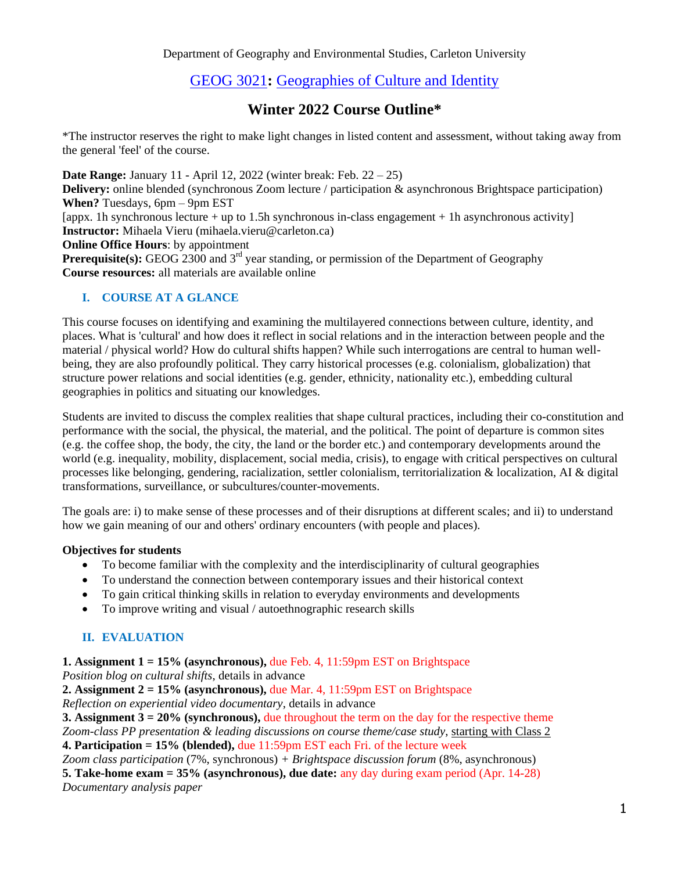# [GEOG 3021](https://central.carleton.ca/prod/bwysched.p_display_course?wsea_code=EXT&term_code=202110&disp=12869381&crn=12832)**:** [Geographies of Culture and Identity](https://central.carleton.ca/prod/bwysched.p_display_course?wsea_code=EXT&term_code=202110&disp=12869381&crn=12832)

# **Winter 2022 Course Outline\***

\*The instructor reserves the right to make light changes in listed content and assessment, without taking away from the general 'feel' of the course.

**Date Range:** January 11 - April 12, 2022 (winter break: Feb. 22 – 25)

**Delivery:** online blended (synchronous Zoom lecture / participation & asynchronous Brightspace participation) **When?** Tuesdays, 6pm – 9pm EST

[appx. 1h synchronous lecture + up to 1.5h synchronous in-class engagement + 1h asynchronous activity] **Instructor:** Mihaela Vieru (mihaela.vieru@carleton.ca)

**Online Office Hours:** by appointment

**Prerequisite(s):** GEOG 2300 and 3<sup>rd</sup> year standing, or permission of the Department of Geography **Course resources:** all materials are available online

# **I. COURSE AT A GLANCE**

This course focuses on identifying and examining the multilayered connections between culture, identity, and places. What is 'cultural' and how does it reflect in social relations and in the interaction between people and the material / physical world? How do cultural shifts happen? While such interrogations are central to human wellbeing, they are also profoundly political. They carry historical processes (e.g. colonialism, globalization) that structure power relations and social identities (e.g. gender, ethnicity, nationality etc.), embedding cultural geographies in politics and situating our knowledges.

Students are invited to discuss the complex realities that shape cultural practices, including their co-constitution and performance with the social, the physical, the material, and the political. The point of departure is common sites (e.g. the coffee shop, the body, the city, the land or the border etc.) and contemporary developments around the world (e.g. inequality, mobility, displacement, social media, crisis), to engage with critical perspectives on cultural processes like belonging, gendering, racialization, settler colonialism, territorialization & localization, AI & digital transformations, surveillance, or subcultures/counter-movements.

The goals are: i) to make sense of these processes and of their disruptions at different scales; and ii) to understand how we gain meaning of our and others' ordinary encounters (with people and places).

## **Objectives for students**

- To become familiar with the complexity and the interdisciplinarity of cultural geographies
- To understand the connection between contemporary issues and their historical context
- To gain critical thinking skills in relation to everyday environments and developments
- To improve writing and visual / autoethnographic research skills

## **II. EVALUATION**

**1. Assignment 1 = 15% (asynchronous),** due Feb. 4, 11:59pm EST on Brightspace *Position blog on cultural shifts*, details in advance

**2. Assignment 2 = 15% (asynchronous),** due Mar. 4, 11:59pm EST on Brightspace *Reflection on experiential video documentary*, details in advance

**3. Assignment 3 = 20% (synchronous),** due throughout the term on the day for the respective theme *Zoom-class PP presentation & leading discussions on course theme/case study*, starting with Class 2 **4. Participation = 15% (blended),** due 11:59pm EST each Fri. of the lecture week

*Zoom class participation* (7%, synchronous) *+ Brightspace discussion forum* (8%, asynchronous)

**5. Take-home exam = 35% (asynchronous), due date:** any day during exam period (Apr. 14-28) *Documentary analysis paper*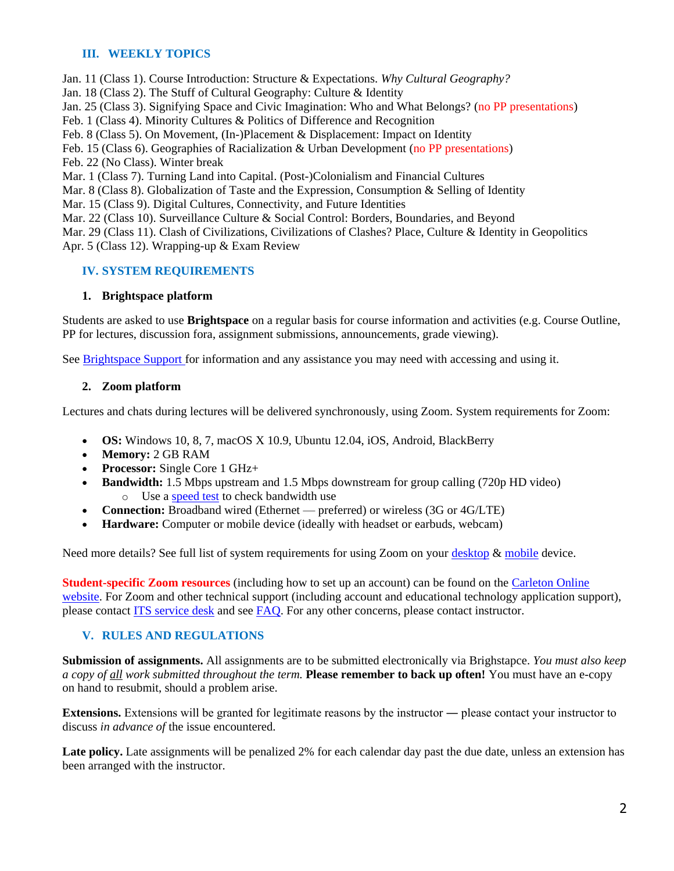## **III. WEEKLY TOPICS**

Jan. 11 (Class 1). Course Introduction: Structure & Expectations. *Why Cultural Geography?* 

Jan. 18 (Class 2). The Stuff of Cultural Geography: Culture & Identity

Jan. 25 (Class 3). Signifying Space and Civic Imagination: Who and What Belongs? (no PP presentations)

Feb. 1 (Class 4). Minority Cultures & Politics of Difference and Recognition

Feb. 8 (Class 5). On Movement, (In-)Placement & Displacement: Impact on Identity

Feb. 15 (Class 6). Geographies of Racialization & Urban Development (no PP presentations)

Feb. 22 (No Class). Winter break

Mar. 1 (Class 7). Turning Land into Capital. (Post-)Colonialism and Financial Cultures

Mar. 8 (Class 8). Globalization of Taste and the Expression, Consumption & Selling of Identity

Mar. 15 (Class 9). Digital Cultures, Connectivity, and Future Identities

Mar. 22 (Class 10). Surveillance Culture & Social Control: Borders, Boundaries, and Beyond

Mar. 29 (Class 11). Clash of Civilizations, Civilizations of Clashes? Place, Culture & Identity in Geopolitics Apr. 5 (Class 12). Wrapping-up & Exam Review

## **IV. SYSTEM REQUIREMENTS**

#### **1. Brightspace platform**

Students are asked to use **Brightspace** on a regular basis for course information and activities (e.g. Course Outline, PP for lectures, discussion fora, assignment submissions, announcements, grade viewing).

See [Brightspace Support f](https://carleton.ca/brightspace/)or information and any assistance you may need with accessing and using it.

#### **2. Zoom platform**

Lectures and chats during lectures will be delivered synchronously, using Zoom. System requirements for Zoom:

- **OS:** Windows 10, 8, 7, macOS X 10.9, Ubuntu 12.04, iOS, Android, BlackBerry
- **Memory:** 2 GB RAM
- **Processor:** Single Core 1 GHz+
- **Bandwidth:** 1.5 Mbps upstream and 1.5 Mbps downstream for group calling (720p HD video) o Use a [speed test](https://speedtest.net/) to check bandwidth use
- **Connection:** Broadband wired (Ethernet preferred) or wireless (3G or 4G/LTE)
- **Hardware:** Computer or mobile device (ideally with headset or earbuds, webcam)

Need more details? See full list of system requirements for using Zoom on your [desktop](https://support.zoom.us/hc/en-us/articles/201362023-System-requirements-for-Windows-macOS-and-Linux) [& mobile](https://support.zoom.us/hc/en-us/articles/201179966-System-requirements-for-iOS-iPadOS-and-Android) device.

**Student-specific Zoom resources** (including how to set up an account) can be found on the [Carleton Online](https://carleton.ca/online/online-learning-resources/zoom-for-students-2/)  [website.](https://carleton.ca/online/online-learning-resources/zoom-for-students-2/) For Zoom and other technical support (including account and educational technology application support), please contact **ITS** service desk and see [FAQ.](https://carleton.ca/its/help-centre/faq-technical-specs-for-new-students/) For any other concerns, please contact instructor.

## **V. RULES AND REGULATIONS**

**Submission of assignments.** All assignments are to be submitted electronically via Brighstapce. *You must also keep a copy of all work submitted throughout the term.* **Please remember to back up often!** You must have an e-copy on hand to resubmit, should a problem arise.

**Extensions.** Extensions will be granted for legitimate reasons by the instructor — please contact your instructor to discuss *in advance of* the issue encountered.

Late policy. Late assignments will be penalized 2% for each calendar day past the due date, unless an extension has been arranged with the instructor.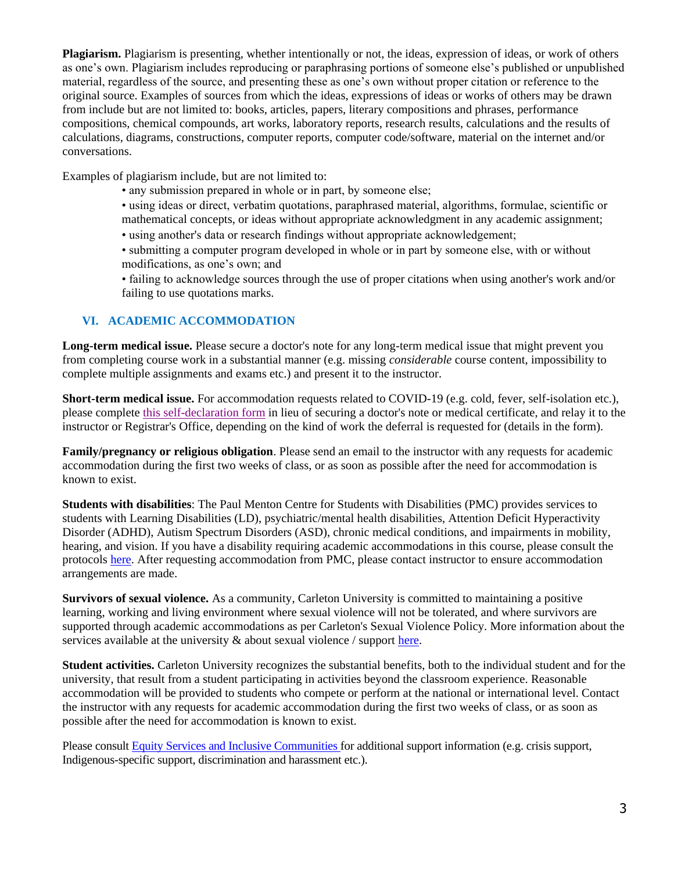**Plagiarism.** Plagiarism is presenting, whether intentionally or not, the ideas, expression of ideas, or work of others as one's own. Plagiarism includes reproducing or paraphrasing portions of someone else's published or unpublished material, regardless of the source, and presenting these as one's own without proper citation or reference to the original source. Examples of sources from which the ideas, expressions of ideas or works of others may be drawn from include but are not limited to: books, articles, papers, literary compositions and phrases, performance compositions, chemical compounds, art works, laboratory reports, research results, calculations and the results of calculations, diagrams, constructions, computer reports, computer code/software, material on the internet and/or conversations.

Examples of plagiarism include, but are not limited to:

- any submission prepared in whole or in part, by someone else;
- using ideas or direct, verbatim quotations, paraphrased material, algorithms, formulae, scientific or mathematical concepts, or ideas without appropriate acknowledgment in any academic assignment;
- using another's data or research findings without appropriate acknowledgement;
- submitting a computer program developed in whole or in part by someone else, with or without modifications, as one's own; and
- failing to acknowledge sources through the use of proper citations when using another's work and/or failing to use quotations marks.

## **VI. ACADEMIC ACCOMMODATION**

**Long-term medical issue.** Please secure a doctor's note for any long-term medical issue that might prevent you from completing course work in a substantial manner (e.g. missing *considerable* course content, impossibility to complete multiple assignments and exams etc.) and present it to the instructor.

**Short-term medical issue.** For accommodation requests related to COVID-19 (e.g. cold, fever, self-isolation etc.), please complete [this self-declaration form](https://carleton.ca/registrar/wp-content/uploads/self-declaration.pdf) in lieu of securing a doctor's note or medical certificate, and relay it to the instructor or Registrar's Office, depending on the kind of work the deferral is requested for (details in the form).

**Family/pregnancy or religious obligation**. Please send an email to the instructor with any requests for academic accommodation during the first two weeks of class, or as soon as possible after the need for accommodation is known to exist.

**Students with disabilities**: The Paul Menton Centre for Students with Disabilities (PMC) provides services to students with Learning Disabilities (LD), psychiatric/mental health disabilities, Attention Deficit Hyperactivity Disorder (ADHD), Autism Spectrum Disorders (ASD), chronic medical conditions, and impairments in mobility, hearing, and vision. If you have a disability requiring academic accommodations in this course, please consult the protocols [here.](https://carleton.ca/pmc/) After requesting accommodation from PMC, please contact instructor to ensure accommodation arrangements are made.

**Survivors of sexual violence.** As a community, Carleton University is committed to maintaining a positive learning, working and living environment where sexual violence will not be tolerated, and where survivors are supported through academic accommodations as per Carleton's Sexual Violence Policy. More information about the services available at the university  $\&$  about sexual violence / support [here.](https://carleton.ca/equity/focus/sexual-violence-prevention-survivor-support/)

**Student activities.** Carleton University recognizes the substantial benefits, both to the individual student and for the university, that result from a student participating in activities beyond the classroom experience. Reasonable accommodation will be provided to students who compete or perform at the national or international level. Contact the instructor with any requests for academic accommodation during the first two weeks of class, or as soon as possible after the need for accommodation is known to exist.

Please consult [Equity Services and Inclusive Communities f](https://carleton.ca/equity/)or additional support information (e.g. crisis support, Indigenous-specific support, discrimination and harassment etc.).